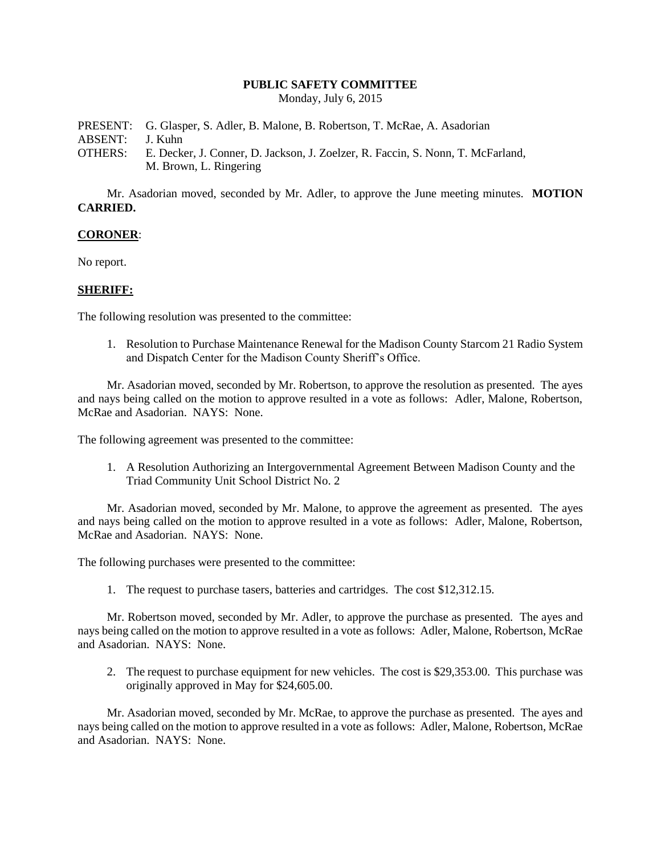### **PUBLIC SAFETY COMMITTEE**

Monday, July 6, 2015

PRESENT: G. Glasper, S. Adler, B. Malone, B. Robertson, T. McRae, A. Asadorian ABSENT: J. Kuhn OTHERS: E. Decker, J. Conner, D. Jackson, J. Zoelzer, R. Faccin, S. Nonn, T. McFarland, M. Brown, L. Ringering

Mr. Asadorian moved, seconded by Mr. Adler, to approve the June meeting minutes. **MOTION CARRIED.**

### **CORONER**:

No report.

### **SHERIFF:**

The following resolution was presented to the committee:

1. Resolution to Purchase Maintenance Renewal for the Madison County Starcom 21 Radio System and Dispatch Center for the Madison County Sheriff's Office.

Mr. Asadorian moved, seconded by Mr. Robertson, to approve the resolution as presented. The ayes and nays being called on the motion to approve resulted in a vote as follows: Adler, Malone, Robertson, McRae and Asadorian. NAYS: None.

The following agreement was presented to the committee:

1. A Resolution Authorizing an Intergovernmental Agreement Between Madison County and the Triad Community Unit School District No. 2

Mr. Asadorian moved, seconded by Mr. Malone, to approve the agreement as presented. The ayes and nays being called on the motion to approve resulted in a vote as follows: Adler, Malone, Robertson, McRae and Asadorian. NAYS: None.

The following purchases were presented to the committee:

1. The request to purchase tasers, batteries and cartridges. The cost \$12,312.15.

Mr. Robertson moved, seconded by Mr. Adler, to approve the purchase as presented. The ayes and nays being called on the motion to approve resulted in a vote as follows: Adler, Malone, Robertson, McRae and Asadorian. NAYS: None.

2. The request to purchase equipment for new vehicles. The cost is \$29,353.00. This purchase was originally approved in May for \$24,605.00.

Mr. Asadorian moved, seconded by Mr. McRae, to approve the purchase as presented. The ayes and nays being called on the motion to approve resulted in a vote as follows: Adler, Malone, Robertson, McRae and Asadorian. NAYS: None.